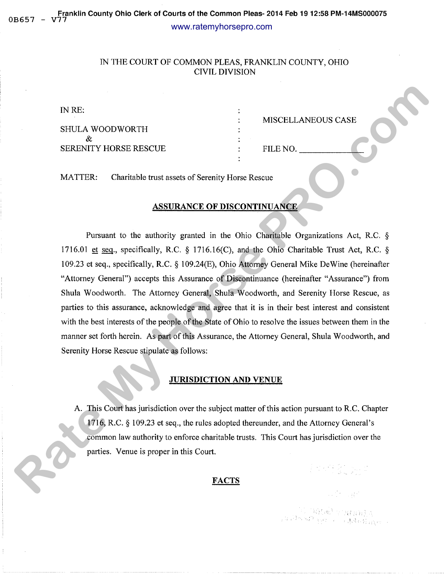# IN THE COURT OF COMMON PLEAS, FRANKLIN COUNTY, OHIO CIVIL DIVISION

| IN RE:                       |          |                    |
|------------------------------|----------|--------------------|
|                              |          | MISCELLANEOUS CASE |
| <b>SHULA WOODWORTH</b>       |          |                    |
|                              |          |                    |
| <b>SERENITY HORSE RESCUE</b> | FILE NO. |                    |
|                              |          |                    |

MATTER: Charitable trust assets of Serenity Horse Rescue

#### ASSURANCE OF DISCONTINUANCE

Pursuant to the authority granted in the Ohio Charitable Organizations Act, R.C. § 1716.01 et seq., specifically, R.C. § 1716.16(C), and the Ohio Charitable Trust Act, R.C. § 109.23 et seq., specifically, R.C. § 109.24(E), Ohio Attorney General Mike DeWine (hereinafter "Attorney General") accepts this Assurance of Discontinuance (hereinafter "Assurance") from Shula Woodworth. The Attorney General, Shula Woodworth, and Serenity Horse Rescue, as parties to this assurance, acknowledge and agree that it is in their best interest and consistent with the best interests of the people of the State of Ohio to resolve the issues between them in the manner set forth herein. As part of this Assurance, the Attorney General, Shula Woodworth, and Serenity Horse Rescue stipulate as follows: **RATES (SET ALTERTATE SET ALTERTATE SET ALTERTATE SET ALTERTATE SET ALTERTATE CONTINUES TO PERCONTINUANCE.**<br> **RATTLER:** Charitable trust seats of Seronity Horse Resource PROCESS (Series ALTERTATE CONTINUANCE)<br>
Powerant to

#### JURISDICTION AND VENUE

A. This Court has jurisdiction over the subject matter of this action pursuant to R.C. Chapter 1716, R.C. § 109.23 et seq., the rules adopted thereunder, and the Attorney General's common law authority to enforce charitable trusts. This Court has jurisdiction over the parties. Venue is proper in this Court.

# FACTS

 $\begin{array}{l} \mathcal{L}\left(\{0,1\}\right) \subset \left\{\left\langle \mathcal{B},\mathcal{B}\right\rangle \right\} \subset \left\{\left\langle \mathcal{B},\mathcal{B}\right\rangle \right\} \subset \left\{\left\langle \mathcal{B},\mathcal{B}\right\rangle \right\} \subset \left\{\left\langle \mathcal{B},\mathcal{B}\right\rangle \right\} \subset \left\{\left\langle \mathcal{B},\mathcal{B}\right\rangle \right\} \subset \left\{\left\langle \mathcal{B},\mathcal{B}\right\rangle \right\} \subset \left\{\left\langle \mathcal{B},\mathcal{B}\right\rangle \right\} \$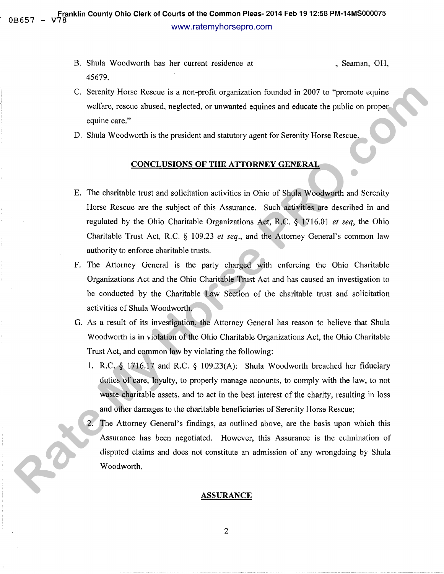- B. Shula Woodworth has her current residence at , Seaman, OH, 45679.
- C. Serenity Horse Rescue is a non-profit organization founded in 2007 to "promote equine welfare, rescue abused, neglected, or unwanted equines and educate the public on proper equine care."
- D. Shula Woodworth is the president and statutory agent for Serenity Horse Rescue.

# CONCLUSIONS OF THE ATTORNEY GENERAL

- E. The charitable trust and solicitation activities in Ohio of Shula Woodworth and Serenity Horse Rescue are the subject of this Assurance. Such activities are described in and regulated by the Ohio Charitable Organizations Act, R.C. § 1716.01 *et seq,* the Ohio Charitable Trust Act, R.C. § 109.23 *et seq.,* and the Attorney General's common law authority to enforce charitable trusts. C. Seconity Horse Rescue is a non-profit organization founded in 2007 to "promote equine<br>veriate, research showed neglected, or univarued equines and educate the public on proper-<br>equine case."<br> **R.** Shals Wondworth is th
	- F. The Attorney General is the party charged with enforcing the Ohio Charitable Organizations Act and the Ohio Charitable Trust Act and has caused an investigation to be conducted by the Charitable Law Section of the charitable trust and solicitation activities of Shula Woodworth.
	- G. As a result of its investigation, the Attorney General has reason to believe that Shula Woodworth is in violation of the Ohio Charitable Organizations Act, the Ohio Charitable Trust Act, and common law by violating the following:
		- 1. R.C. § 1716.17 and R.C. § 109.23(A): Shula Woodworth breached her fiduciary duties of care, loyalty, to properly manage accounts, to comply with the law, to not waste charitable assets, and to act in the best interest of the charity, resulting in loss and other damages to the charitable beneficiaries of Serenity Horse Rescue;
		- The Attorney General's findings, as outlined above, are the basis upon which this Assurance has been negotiated. However, this Assurance is the culmination of disputed claims and does not constitute an admission of any wrongdoing by Shula Woodworth.

#### ASSURANCE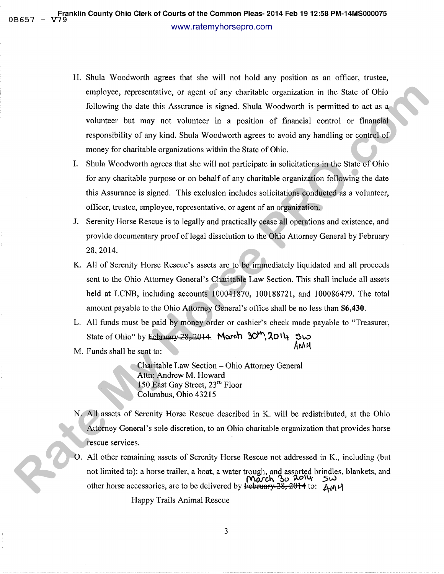- H. Shula Woodworth agrees that she will not hold any position as an officer, trustee, employee, representative, or agent of any charitable organization in the State of Ohio following the date this Assurance is signed. Shula Woodworth is permitted to act as a volunteer but may not volunteer in a position of financial control or financial responsibility of any kind. Shula Woodworth agrees to avoid any handling or control of money for charitable organizations within the State of Ohio. compleyes, representative, or negative five channelise experiencies in the State of Ohio<br>
Following the data this Assumers is signed. Show Woodworth is premiule do as a solid scheme but may not vehicle that any detection i
	- I. Shula Woodworth agrees that she will not participate in solicitations in the State of Ohio for any charitable purpose or on behalf of any charitable organization following the date this Assurance is signed. This exclusion includes solicitations conducted as a volunteer, officer, trustee, employee, representative, or agent of an organization.
	- J. Serenity Horse Rescue is to legally and practically cease all operations and existence, and provide documentary proof of legal dissolution to the Ohio Attorney General by February 28,2014.
	- K. All of Serenity Horse Rescue's assets are to be immediately liquidated and all proceeds sent to the Ohio Attorney General's Charitable Law Section. This shall include all assets held at LCNB, including accounts 100041870, 100188721, and 100086479. The total amount payable to the Ohio Attorney General's office shall be no less than **\$6,430.**
	- L. All funds must be paid by money order or cashier's check made payable to "Treasurer, State of Ohio" by Eehmary 28, 2014. **Morch 30<sup>th</sup>, 2014 \$w.**  $M.$  Funds shall be sent to:  $AM\mu$
	-

Charitable Law Section- Ohio Attorney General Attn: Andrew M. Howard 150 East Gay Street, 23<sup>rd</sup> Floor Columbus, Ohio 43215

- N. All assets of Serenity Horse Rescue described in K. will be redistributed, at the Ohio Attorney General's sole discretion, to an Ohio charitable organization that provides horse rescue services.
- 0. All other remaining assets of Serenity Horse Rescue not addressed in K., including (but not limited to): a horse trailer, a boat, a water trough, and assorted brindles, blankets, and  $\overrightarrow{Mack}$  so  $\overrightarrow{20}$ **March 30 2014 5w.** other horse accessories, are to be delivered by February 28, 2014 to:  $A_M \cup A$

Happy Trails Animal Rescue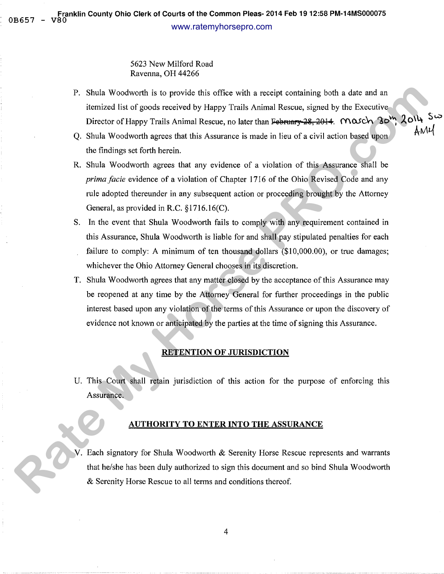### 5623 New Milford Road Ravenna, OH 44266

- P. Shula Woodworth is to provide this office with a receipt containing both a date and an itemized list of goods received by Happy Trails Animal Rescue, signed by the Executive Director of Happy Trails Animal Rescue, no later than February 28, 2014. Mosch 30<sup>th</sup>,  $\lambda$ 0<sup>14</sup>
- Q. Shula Woodworth agrees that this Assurance is made in lieu of a civil action based upon  $A^{n+1}$ the findings set forth herein.
- R. Shula Woodworth agrees that any evidence of a violation of this Assurance shall be *prima facie evidence of a violation of Chapter 1716 of the Ohio Revised Code and any* rule adopted thereunder in any subsequent action or proceeding brought by the Attorney General, as provided in R.C. §1716.16(C).
- S. In the event that Shula Woodworth fails to comply with any requirement contained in this Assurance, Shula Woodworth is liable for and shall pay stipulated penalties for each failure to comply: A minimum of ten thousand dollars (\$10,000.00), or true damages; whichever the Ohio Attorney General chooses in its discretion. **P.** Shulu We<br>colverth is to provide this office with a receipt containing torit a date and an<br>interior like of so figuots received by Lingty 2 ratio. National Researce, signed by the Procession<br>C. Shulla Woodworth agrees
	- T. Shula Woodworth agrees that any matter closed by the acceptance of this Assurance may be reopened at any time by the Attorney General for further proceedings in the public interest based upon any violation of the terms of this Assurance or upon the discovery of evidence not known or anticipated by the parties at the time of signing this Assurance.

### RETENTION OF JURISDICTION

U. This Court shall retain jurisdiction of this action for the purpose of enforcing this Assurance.

#### AUTHORITY TO ENTER INTO THE ASSURANCE

V. Each signatory for Shula Woodworth & Serenity Horse Rescue represents and warrants that he/she has been duly authorized to sign this document and so bind Shula Woodworth & Serenity Horse Rescue to all terms and conditions thereof.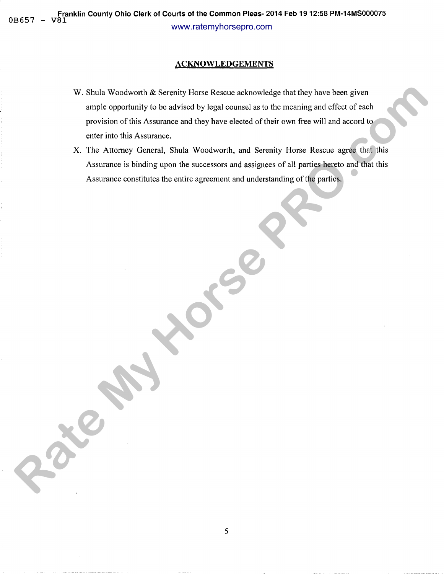### **ACKNOWLEDGEMENTS**

- W. Shula Woodworth & Serenity Horse Rescue acknowledge that they have been given ample opportunity to be advised by legal counsel as to the meaning and effect of each provision of this Assurance and they have elected of their own free will and accord to enter into this Assurance. **R**, Shula Woodworth & Surently Horse Resource enclaptive light thing have been given<br>ample opportunity to ha advisable hy logal converse is to for meaning and effects of accompanies in the state of the meaning and effects
	- X. The Attorney General, Shula Woodworth, and Serenity Horse Rescue agree that this Assurance is binding upon the successors and assignees of all parties hereto and that this Assurance constitutes the entire agreement and understanding of the parties.